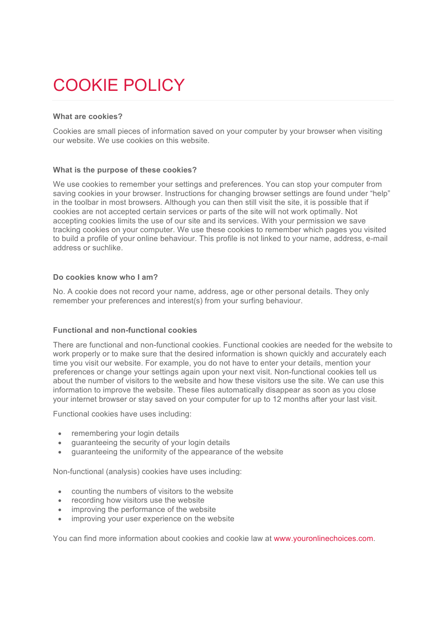# COOKIE POLICY

# **What are cookies?**

Cookies are small pieces of information saved on your computer by your browser when visiting our website. We use cookies on this website.

## **What is the purpose of these cookies?**

We use cookies to remember your settings and preferences. You can stop your computer from saving cookies in your browser. Instructions for changing browser settings are found under "help" in the toolbar in most browsers. Although you can then still visit the site, it is possible that if cookies are not accepted certain services or parts of the site will not work optimally. Not accepting cookies limits the use of our site and its services. With your permission we save tracking cookies on your computer. We use these cookies to remember which pages you visited to build a profile of your online behaviour. This profile is not linked to your name, address, e-mail address or suchlike.

#### **Do cookies know who I am?**

No. A cookie does not record your name, address, age or other personal details. They only remember your preferences and interest(s) from your surfing behaviour.

## **Functional and non-functional cookies**

There are functional and non-functional cookies. Functional cookies are needed for the website to work properly or to make sure that the desired information is shown quickly and accurately each time you visit our website. For example, you do not have to enter your details, mention your preferences or change your settings again upon your next visit. Non-functional cookies tell us about the number of visitors to the website and how these visitors use the site. We can use this information to improve the website. These files automatically disappear as soon as you close your internet browser or stay saved on your computer for up to 12 months after your last visit.

Functional cookies have uses including:

- remembering your login details
- guaranteeing the security of your login details
- guaranteeing the uniformity of the appearance of the website

Non-functional (analysis) cookies have uses including:

- counting the numbers of visitors to the website
- recording how visitors use the website
- improving the performance of the website
- improving your user experience on the website

You can find more information about cookies and cookie law at www.youronlinechoices.com.